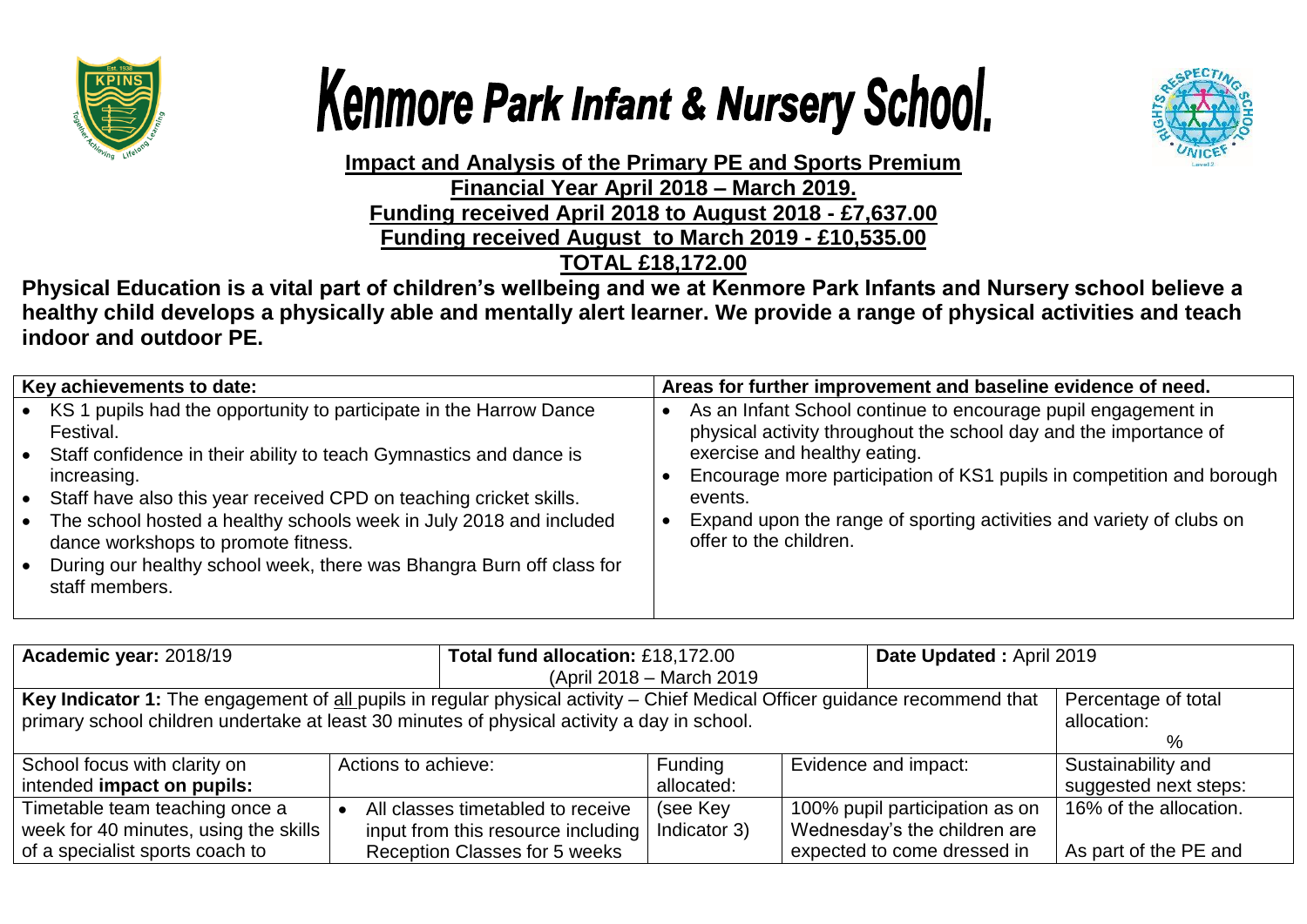





**Impact and Analysis of the Primary PE and Sports Premium Financial Year April 2018 – March 2019. Funding received April 2018 to August 2018 - £7,637.00 Funding received August to March 2019 - £10,535.00 TOTAL £18,172.00**

**Physical Education is a vital part of children's wellbeing and we at Kenmore Park Infants and Nursery school believe a healthy child develops a physically able and mentally alert learner. We provide a range of physical activities and teach indoor and outdoor PE.**

| Key achievements to date:                                                                                                                                                                                                                                                                                                                                                                                                                                   | Areas for further improvement and baseline evidence of need.                                                                                                                                                                                                                                                                                             |
|-------------------------------------------------------------------------------------------------------------------------------------------------------------------------------------------------------------------------------------------------------------------------------------------------------------------------------------------------------------------------------------------------------------------------------------------------------------|----------------------------------------------------------------------------------------------------------------------------------------------------------------------------------------------------------------------------------------------------------------------------------------------------------------------------------------------------------|
| • KS 1 pupils had the opportunity to participate in the Harrow Dance<br>Festival.<br>• Staff confidence in their ability to teach Gymnastics and dance is<br>increasing.<br>• Staff have also this year received CPD on teaching cricket skills.<br>• The school hosted a healthy schools week in July 2018 and included<br>dance workshops to promote fitness.<br>• During our healthy school week, there was Bhangra Burn off class for<br>staff members. | As an Infant School continue to encourage pupil engagement in<br>physical activity throughout the school day and the importance of<br>exercise and healthy eating.<br>Encourage more participation of KS1 pupils in competition and borough<br>events.<br>Expand upon the range of sporting activities and variety of clubs on<br>offer to the children. |

| Academic year: 2018/19                                                                                                                                                                                                    |                     | Total fund allocation: £18,172.00                                                                               |                           | Date Updated: April 2019 |                                                                                               |                                                 |
|---------------------------------------------------------------------------------------------------------------------------------------------------------------------------------------------------------------------------|---------------------|-----------------------------------------------------------------------------------------------------------------|---------------------------|--------------------------|-----------------------------------------------------------------------------------------------|-------------------------------------------------|
|                                                                                                                                                                                                                           |                     |                                                                                                                 | (April 2018 – March 2019) |                          |                                                                                               |                                                 |
| Key Indicator 1: The engagement of all pupils in regular physical activity - Chief Medical Officer guidance recommend that<br>primary school children undertake at least 30 minutes of physical activity a day in school. |                     |                                                                                                                 |                           |                          | Percentage of total<br>allocation:<br>$\%$                                                    |                                                 |
| School focus with clarity on<br>intended impact on pupils:                                                                                                                                                                | Actions to achieve: |                                                                                                                 | Funding<br>allocated:     |                          | Evidence and impact:                                                                          | Sustainability and<br>suggested next steps:     |
| Timetable team teaching once a<br>week for 40 minutes, using the skills<br>of a specialist sports coach to                                                                                                                |                     | All classes timetabled to receive<br>input from this resource including<br><b>Reception Classes for 5 weeks</b> | (see Key<br>Indicator 3)  |                          | 100% pupil participation as on<br>Wednesday's the children are<br>expected to come dressed in | 16% of the allocation.<br>As part of the PE and |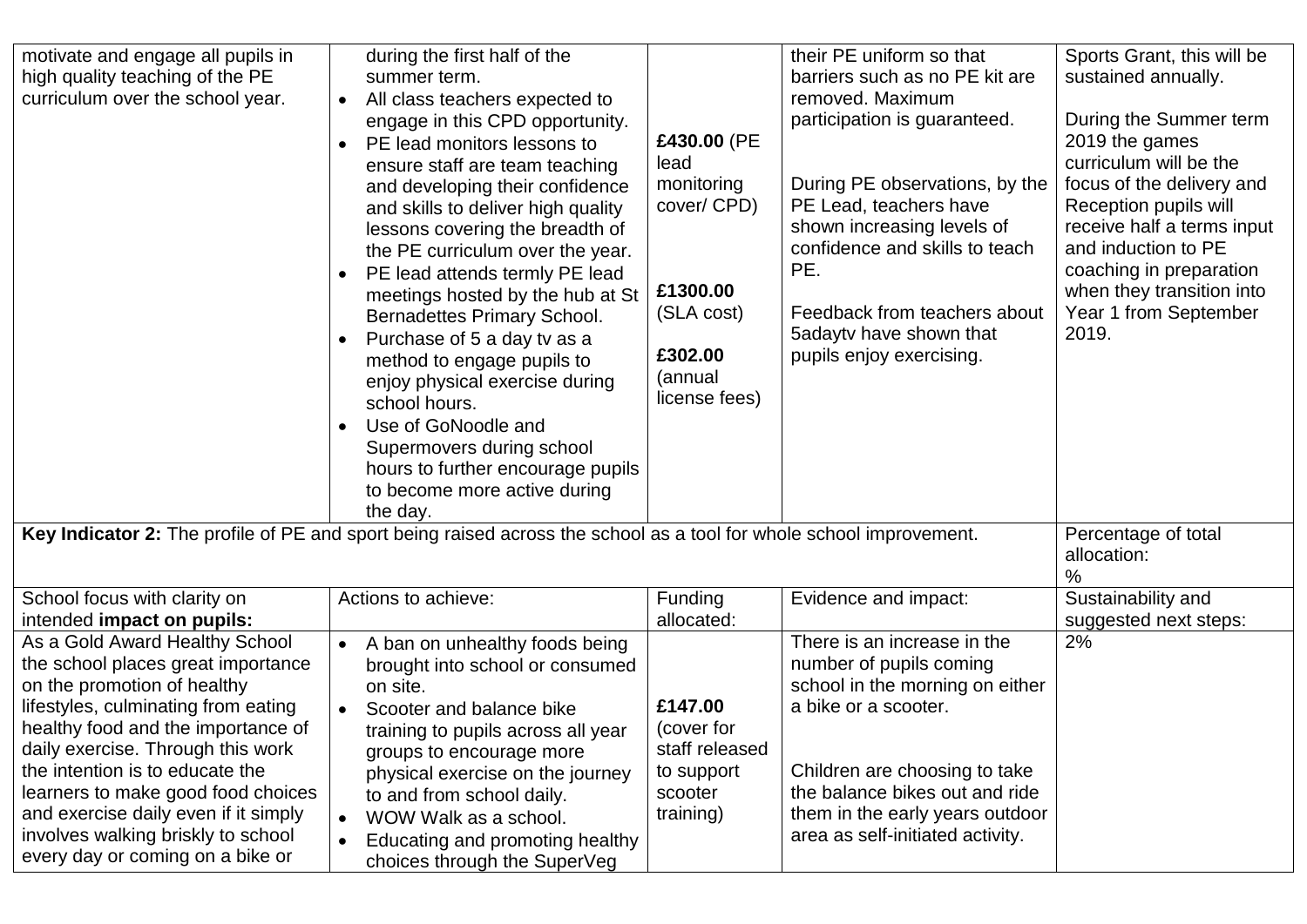| motivate and engage all pupils in<br>high quality teaching of the PE<br>curriculum over the school year.                                                                                                                                                                                                                                                                                                         | during the first half of the<br>summer term.<br>All class teachers expected to<br>$\bullet$<br>engage in this CPD opportunity.<br>PE lead monitors lessons to<br>ensure staff are team teaching<br>and developing their confidence<br>and skills to deliver high quality<br>lessons covering the breadth of<br>the PE curriculum over the year.<br>PE lead attends termly PE lead<br>meetings hosted by the hub at St<br>Bernadettes Primary School.<br>Purchase of 5 a day tv as a<br>method to engage pupils to<br>enjoy physical exercise during<br>school hours.<br>Use of GoNoodle and<br>Supermovers during school<br>hours to further encourage pupils<br>to become more active during<br>the day. | £430.00 (PE<br>lead<br>monitoring<br>cover/ CPD)<br>£1300.00<br>(SLA cost)<br>£302.00<br>(annual<br>license fees) | their PE uniform so that<br>barriers such as no PE kit are<br>removed. Maximum<br>participation is guaranteed.<br>During PE observations, by the<br>PE Lead, teachers have<br>shown increasing levels of<br>confidence and skills to teach<br>PE.<br>Feedback from teachers about<br>5adaytv have shown that<br>pupils enjoy exercising. | Sports Grant, this will be<br>sustained annually.<br>During the Summer term<br>2019 the games<br>curriculum will be the<br>focus of the delivery and<br>Reception pupils will<br>receive half a terms input<br>and induction to PE<br>coaching in preparation<br>when they transition into<br>Year 1 from September<br>2019. |
|------------------------------------------------------------------------------------------------------------------------------------------------------------------------------------------------------------------------------------------------------------------------------------------------------------------------------------------------------------------------------------------------------------------|-----------------------------------------------------------------------------------------------------------------------------------------------------------------------------------------------------------------------------------------------------------------------------------------------------------------------------------------------------------------------------------------------------------------------------------------------------------------------------------------------------------------------------------------------------------------------------------------------------------------------------------------------------------------------------------------------------------|-------------------------------------------------------------------------------------------------------------------|------------------------------------------------------------------------------------------------------------------------------------------------------------------------------------------------------------------------------------------------------------------------------------------------------------------------------------------|------------------------------------------------------------------------------------------------------------------------------------------------------------------------------------------------------------------------------------------------------------------------------------------------------------------------------|
| Key Indicator 2: The profile of PE and sport being raised across the school as a tool for whole school improvement.                                                                                                                                                                                                                                                                                              | Percentage of total<br>allocation:<br>$\frac{0}{0}$                                                                                                                                                                                                                                                                                                                                                                                                                                                                                                                                                                                                                                                       |                                                                                                                   |                                                                                                                                                                                                                                                                                                                                          |                                                                                                                                                                                                                                                                                                                              |
| School focus with clarity on<br>intended impact on pupils:                                                                                                                                                                                                                                                                                                                                                       | Actions to achieve:                                                                                                                                                                                                                                                                                                                                                                                                                                                                                                                                                                                                                                                                                       | Funding<br>allocated:                                                                                             | Evidence and impact:                                                                                                                                                                                                                                                                                                                     | Sustainability and<br>suggested next steps:                                                                                                                                                                                                                                                                                  |
| As a Gold Award Healthy School<br>the school places great importance<br>on the promotion of healthy<br>lifestyles, culminating from eating<br>healthy food and the importance of<br>daily exercise. Through this work<br>the intention is to educate the<br>learners to make good food choices<br>and exercise daily even if it simply<br>involves walking briskly to school<br>every day or coming on a bike or | A ban on unhealthy foods being<br>brought into school or consumed<br>on site.<br>Scooter and balance bike<br>training to pupils across all year<br>groups to encourage more<br>physical exercise on the journey<br>to and from school daily.<br>WOW Walk as a school.<br>$\bullet$<br>Educating and promoting healthy<br>choices through the SuperVeg                                                                                                                                                                                                                                                                                                                                                     | £147.00<br>(cover for<br>staff released<br>to support<br>scooter<br>training)                                     | There is an increase in the<br>number of pupils coming<br>school in the morning on either<br>a bike or a scooter.<br>Children are choosing to take<br>the balance bikes out and ride<br>them in the early years outdoor<br>area as self-initiated activity.                                                                              | 2%                                                                                                                                                                                                                                                                                                                           |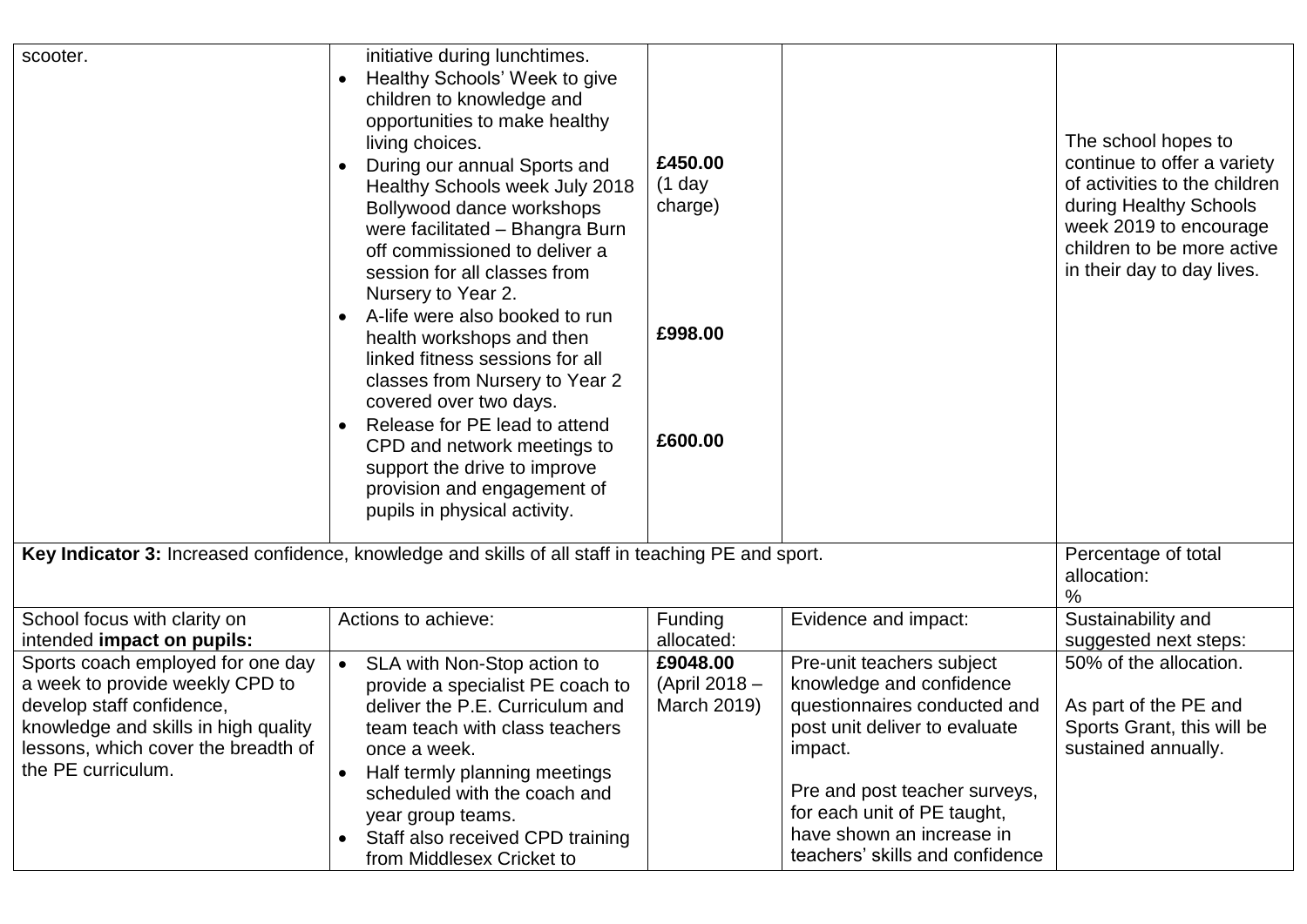| scooter.                                                                                                                                                                                               | initiative during lunchtimes.<br>Healthy Schools' Week to give<br>children to knowledge and<br>opportunities to make healthy<br>living choices.<br>During our annual Sports and<br>Healthy Schools week July 2018<br>Bollywood dance workshops<br>were facilitated - Bhangra Burn<br>off commissioned to deliver a<br>session for all classes from<br>Nursery to Year 2.<br>A-life were also booked to run<br>health workshops and then<br>linked fitness sessions for all<br>classes from Nursery to Year 2<br>covered over two days.<br>Release for PE lead to attend<br>CPD and network meetings to<br>support the drive to improve | £450.00<br>$(1$ day<br>charge)<br>£998.00<br>£600.00 |                                                                                                                                                                                                                                                                   | The school hopes to<br>continue to offer a variety<br>of activities to the children<br>during Healthy Schools<br>week 2019 to encourage<br>children to be more active<br>in their day to day lives. |
|--------------------------------------------------------------------------------------------------------------------------------------------------------------------------------------------------------|----------------------------------------------------------------------------------------------------------------------------------------------------------------------------------------------------------------------------------------------------------------------------------------------------------------------------------------------------------------------------------------------------------------------------------------------------------------------------------------------------------------------------------------------------------------------------------------------------------------------------------------|------------------------------------------------------|-------------------------------------------------------------------------------------------------------------------------------------------------------------------------------------------------------------------------------------------------------------------|-----------------------------------------------------------------------------------------------------------------------------------------------------------------------------------------------------|
|                                                                                                                                                                                                        | provision and engagement of<br>pupils in physical activity.                                                                                                                                                                                                                                                                                                                                                                                                                                                                                                                                                                            |                                                      |                                                                                                                                                                                                                                                                   |                                                                                                                                                                                                     |
| Key Indicator 3: Increased confidence, knowledge and skills of all staff in teaching PE and sport.                                                                                                     | Percentage of total<br>allocation:<br>$\frac{0}{0}$                                                                                                                                                                                                                                                                                                                                                                                                                                                                                                                                                                                    |                                                      |                                                                                                                                                                                                                                                                   |                                                                                                                                                                                                     |
| School focus with clarity on<br>intended impact on pupils:                                                                                                                                             | Actions to achieve:                                                                                                                                                                                                                                                                                                                                                                                                                                                                                                                                                                                                                    | Funding<br>allocated:                                | Evidence and impact:                                                                                                                                                                                                                                              | Sustainability and<br>suggested next steps:                                                                                                                                                         |
| Sports coach employed for one day<br>a week to provide weekly CPD to<br>develop staff confidence,<br>knowledge and skills in high quality<br>lessons, which cover the breadth of<br>the PE curriculum. | SLA with Non-Stop action to<br>$\bullet$<br>provide a specialist PE coach to<br>deliver the P.E. Curriculum and<br>team teach with class teachers<br>once a week.<br>Half termly planning meetings<br>scheduled with the coach and<br>year group teams.<br>Staff also received CPD training<br>$\bullet$<br>from Middlesex Cricket to                                                                                                                                                                                                                                                                                                  | £9048.00<br>(April 2018 -<br>March 2019)             | Pre-unit teachers subject<br>knowledge and confidence<br>questionnaires conducted and<br>post unit deliver to evaluate<br>impact.<br>Pre and post teacher surveys,<br>for each unit of PE taught,<br>have shown an increase in<br>teachers' skills and confidence | 50% of the allocation.<br>As part of the PE and<br>Sports Grant, this will be<br>sustained annually.                                                                                                |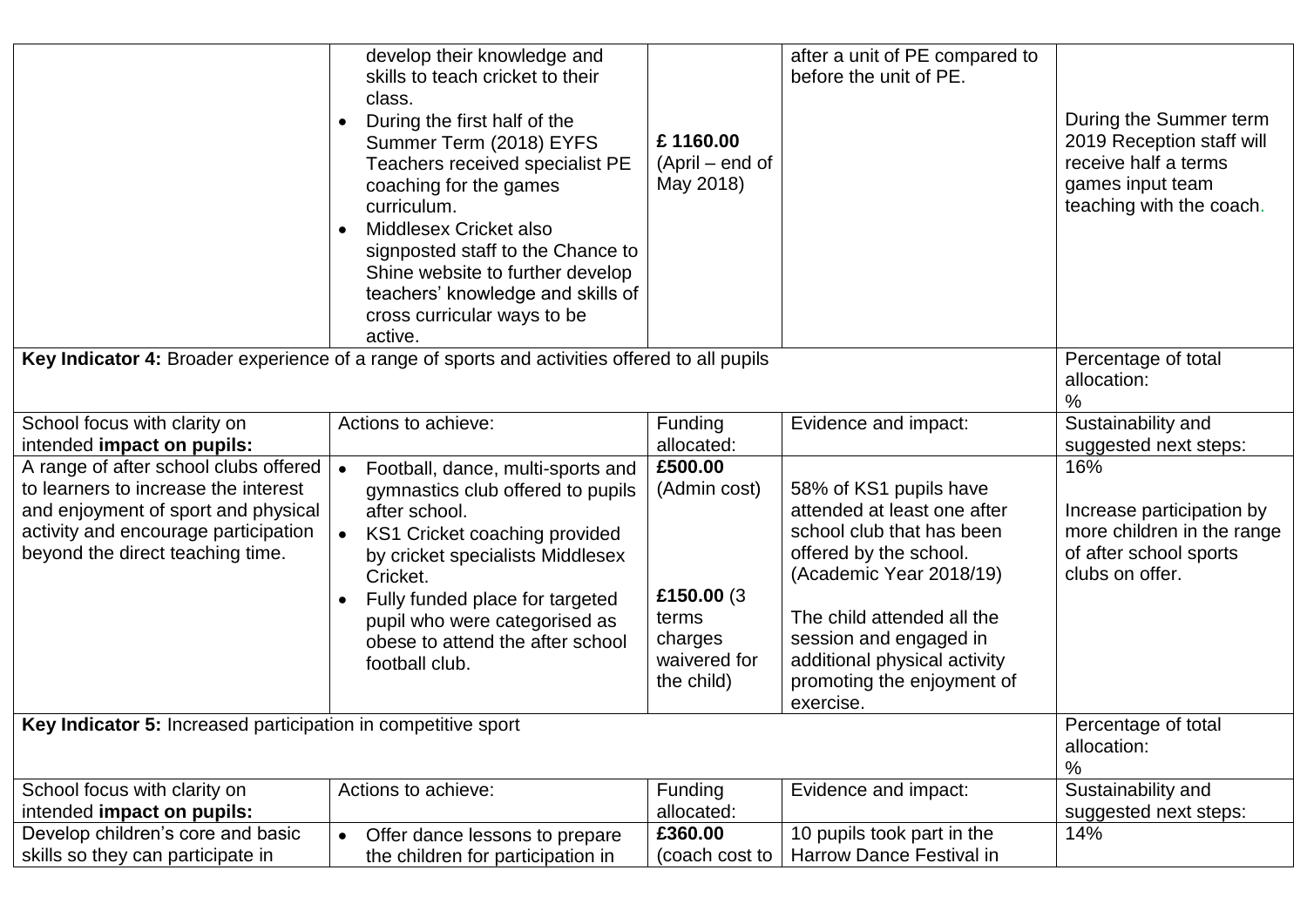|                                                                                                                                                                                                  | develop their knowledge and<br>skills to teach cricket to their<br>class.<br>During the first half of the<br>Summer Term (2018) EYFS<br>Teachers received specialist PE<br>coaching for the games<br>curriculum.<br>Middlesex Cricket also<br>signposted staff to the Chance to<br>Shine website to further develop<br>teachers' knowledge and skills of<br>cross curricular ways to be<br>active. | £1160.00<br>$(April - end of$<br>May 2018)                                               | after a unit of PE compared to<br>before the unit of PE.                                                                                                                                                                                                                   | During the Summer term<br>2019 Reception staff will<br>receive half a terms<br>games input team<br>teaching with the coach. |
|--------------------------------------------------------------------------------------------------------------------------------------------------------------------------------------------------|----------------------------------------------------------------------------------------------------------------------------------------------------------------------------------------------------------------------------------------------------------------------------------------------------------------------------------------------------------------------------------------------------|------------------------------------------------------------------------------------------|----------------------------------------------------------------------------------------------------------------------------------------------------------------------------------------------------------------------------------------------------------------------------|-----------------------------------------------------------------------------------------------------------------------------|
| Key Indicator 4: Broader experience of a range of sports and activities offered to all pupils                                                                                                    | Percentage of total<br>allocation:<br>%                                                                                                                                                                                                                                                                                                                                                            |                                                                                          |                                                                                                                                                                                                                                                                            |                                                                                                                             |
| School focus with clarity on<br>intended impact on pupils:                                                                                                                                       | Actions to achieve:                                                                                                                                                                                                                                                                                                                                                                                | Funding<br>allocated:                                                                    | Evidence and impact:                                                                                                                                                                                                                                                       | Sustainability and<br>suggested next steps:                                                                                 |
| A range of after school clubs offered<br>to learners to increase the interest<br>and enjoyment of sport and physical<br>activity and encourage participation<br>beyond the direct teaching time. | Football, dance, multi-sports and<br>gymnastics club offered to pupils<br>after school.<br>KS1 Cricket coaching provided<br>by cricket specialists Middlesex<br>Cricket.<br>Fully funded place for targeted<br>pupil who were categorised as<br>obese to attend the after school<br>football club.                                                                                                 | £500.00<br>(Admin cost)<br>£150.00 (3)<br>terms<br>charges<br>waivered for<br>the child) | 58% of KS1 pupils have<br>attended at least one after<br>school club that has been<br>offered by the school.<br>(Academic Year 2018/19)<br>The child attended all the<br>session and engaged in<br>additional physical activity<br>promoting the enjoyment of<br>exercise. | 16%<br>Increase participation by<br>more children in the range<br>of after school sports<br>clubs on offer.                 |
| Key Indicator 5: Increased participation in competitive sport                                                                                                                                    | Percentage of total<br>allocation:<br>$\%$                                                                                                                                                                                                                                                                                                                                                         |                                                                                          |                                                                                                                                                                                                                                                                            |                                                                                                                             |
| School focus with clarity on<br>intended impact on pupils:                                                                                                                                       | Actions to achieve:                                                                                                                                                                                                                                                                                                                                                                                | <b>Funding</b><br>allocated:                                                             | Evidence and impact:                                                                                                                                                                                                                                                       | Sustainability and<br>suggested next steps:                                                                                 |
| Develop children's core and basic<br>skills so they can participate in                                                                                                                           | Offer dance lessons to prepare<br>$\bullet$<br>the children for participation in                                                                                                                                                                                                                                                                                                                   | £360.00<br>(coach cost to                                                                | 10 pupils took part in the<br><b>Harrow Dance Festival in</b>                                                                                                                                                                                                              | 14%                                                                                                                         |